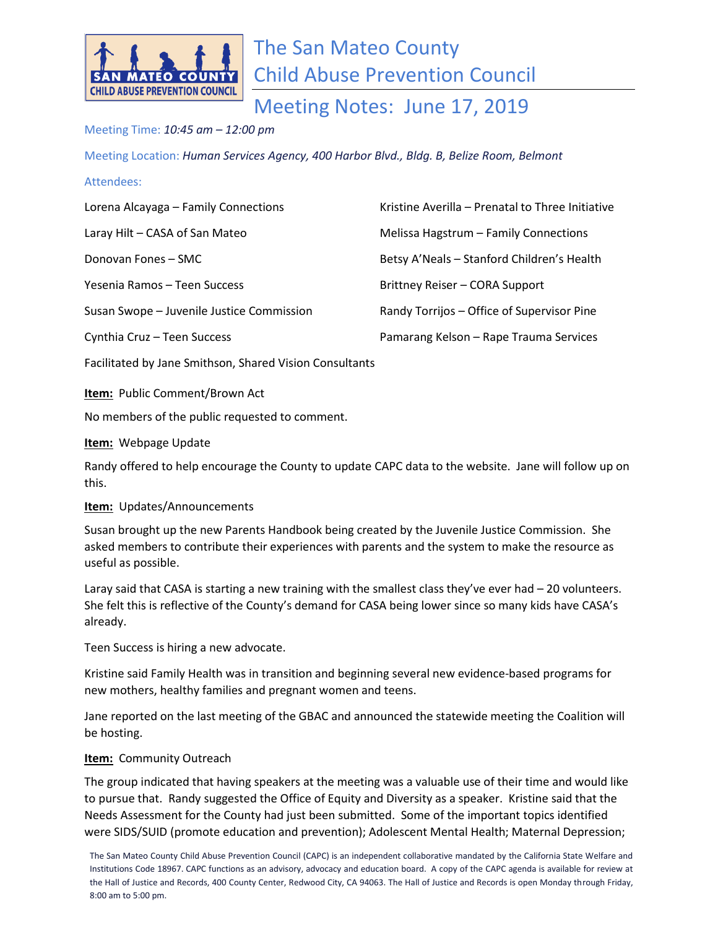

# The San Mateo County Child Abuse Prevention Council

Meeting Notes: June 17, 2019

## Meeting Time: *10:45 am – 12:00 pm*

Meeting Location: *Human Services Agency, 400 Harbor Blvd., Bldg. B, Belize Room, Belmont*

### Attendees:

| Lorena Alcayaga - Family Connections      | Kristine Averilla - Prenatal to Three Initiative |
|-------------------------------------------|--------------------------------------------------|
| Laray Hilt - CASA of San Mateo            | Melissa Hagstrum - Family Connections            |
| Donovan Fones - SMC                       | Betsy A'Neals - Stanford Children's Health       |
| Yesenia Ramos - Teen Success              | Brittney Reiser - CORA Support                   |
| Susan Swope - Juvenile Justice Commission | Randy Torrijos – Office of Supervisor Pine       |
| Cynthia Cruz - Teen Success               | Pamarang Kelson - Rape Trauma Services           |

Facilitated by Jane Smithson, Shared Vision Consultants

**Item:** Public Comment/Brown Act

No members of the public requested to comment.

#### **Item:** Webpage Update

Randy offered to help encourage the County to update CAPC data to the website. Jane will follow up on this.

#### **Item:** Updates/Announcements

Susan brought up the new Parents Handbook being created by the Juvenile Justice Commission. She asked members to contribute their experiences with parents and the system to make the resource as useful as possible.

Laray said that CASA is starting a new training with the smallest class they've ever had - 20 volunteers. She felt this is reflective of the County's demand for CASA being lower since so many kids have CASA's already.

Teen Success is hiring a new advocate.

Kristine said Family Health was in transition and beginning several new evidence-based programs for new mothers, healthy families and pregnant women and teens.

Jane reported on the last meeting of the GBAC and announced the statewide meeting the Coalition will be hosting.

## **Item:** Community Outreach

The group indicated that having speakers at the meeting was a valuable use of their time and would like to pursue that. Randy suggested the Office of Equity and Diversity as a speaker. Kristine said that the Needs Assessment for the County had just been submitted. Some of the important topics identified were SIDS/SUID (promote education and prevention); Adolescent Mental Health; Maternal Depression;

The San Mateo County Child Abuse Prevention Council (CAPC) is an independent collaborative mandated by the California State Welfare and Institutions Code 18967. CAPC functions as an advisory, advocacy and education board. A copy of the CAPC agenda is available for review at the Hall of Justice and Records, 400 County Center, Redwood City, CA 94063. The Hall of Justice and Records is open Monday through Friday, 8:00 am to 5:00 pm.